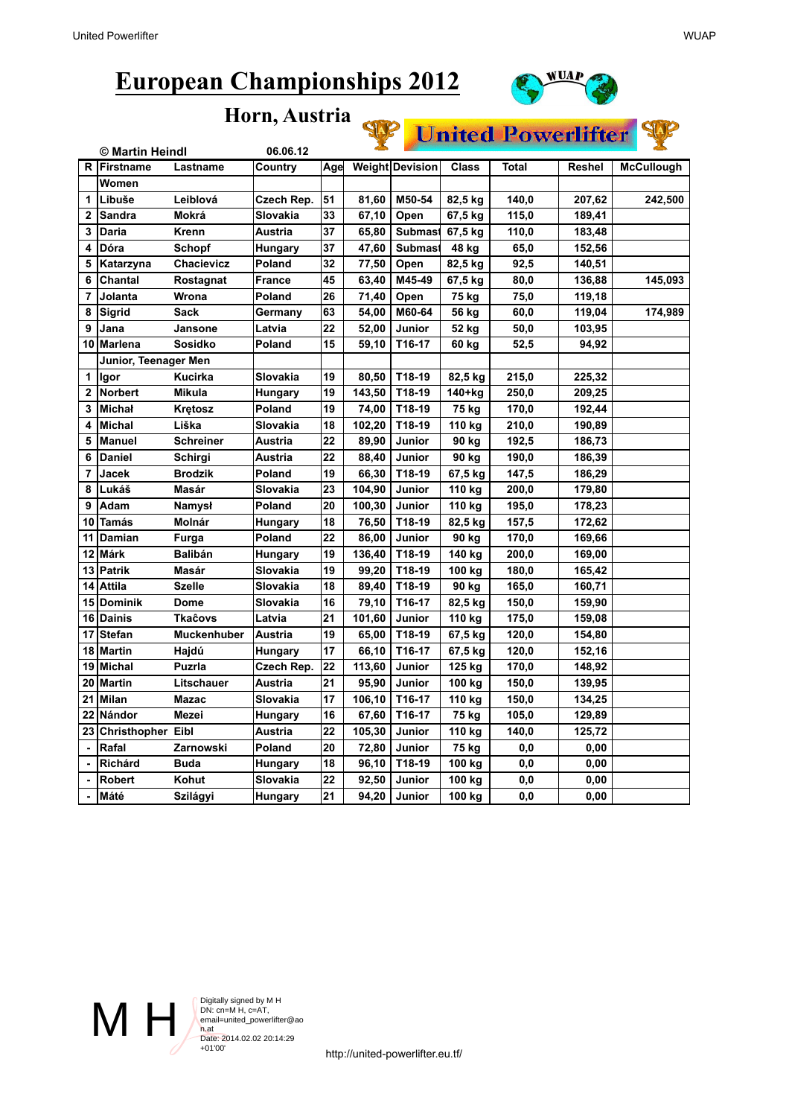

## **Horn, Austria**



| Horn, Austria  |                   |                      |                                                                                                                         |     |        |                 |              |              |               |                   |  |
|----------------|-------------------|----------------------|-------------------------------------------------------------------------------------------------------------------------|-----|--------|-----------------|--------------|--------------|---------------|-------------------|--|
|                |                   |                      | <b>Particular Description Property Property Property Property Property Property Property Property Property Property</b> |     |        |                 |              |              |               |                   |  |
|                | © Martin Heindl   |                      | 06.06.12                                                                                                                |     |        |                 |              |              |               |                   |  |
|                | R Firstname       | Lastname             | Country                                                                                                                 | Age |        | Weight Devision | <b>Class</b> | <b>Total</b> | <b>Reshel</b> | <b>McCullough</b> |  |
|                | Women             |                      |                                                                                                                         |     |        |                 |              |              |               |                   |  |
| 1              | Libuše            | Leiblová             | Czech Rep.                                                                                                              | 51  | 81,60  | M50-54          | 82,5 kg      | 140,0        | 207,62        | 242,500           |  |
| $\mathbf{2}$   | <b>Sandra</b>     | Mokrá                | Slovakia                                                                                                                | 33  | 67,10  | Open            | 67,5 kg      | 115,0        | 189,41        |                   |  |
| 3              | Daria             | Krenn                | Austria                                                                                                                 | 37  | 65,80  | <b>Submast</b>  | 67,5 kg      | 110,0        | 183,48        |                   |  |
| 4              | Dóra              | Schopf               | <b>Hungary</b>                                                                                                          | 37  | 47,60  | <b>Submast</b>  | 48 kg        | 65,0         | 152,56        |                   |  |
| 5              | Katarzyna         | Chacievicz           | Poland                                                                                                                  | 32  | 77,50  | Open            | 82,5 kg      | 92,5         | 140,51        |                   |  |
| 6              | Chantal           | Rostagnat            | <b>France</b>                                                                                                           | 45  | 63,40  | M45-49          | 67,5 kg      | 80,0         | 136,88        | 145,093           |  |
| $\overline{7}$ | Jolanta           | Wrona                | Poland                                                                                                                  | 26  | 71,40  | Open            | 75 kg        | 75,0         | 119,18        |                   |  |
| 8              | Sigrid            | Sack                 | Germany                                                                                                                 | 63  | 54,00  | M60-64          | 56 kg        | 60,0         | 119,04        | 174,989           |  |
| 9              | Jana              | Jansone              | Latvia                                                                                                                  | 22  | 52,00  | Junior          | 52 kg        | 50,0         | 103,95        |                   |  |
| 10             | lMarlena          | <b>Sosidko</b>       | Poland                                                                                                                  | 15  | 59,10  | T16-17          | 60 kg        | 52,5         | 94,92         |                   |  |
|                |                   | Junior, Teenager Men |                                                                                                                         |     |        |                 |              |              |               |                   |  |
| 1              | Igor              | <b>Kucirka</b>       | Slovakia                                                                                                                | 19  | 80,50  | T18-19          | 82,5 kg      | 215,0        | 225,32        |                   |  |
| $\overline{2}$ | <b>Norbert</b>    | <b>Mikula</b>        | Hungary                                                                                                                 | 19  | 143,50 | T18-19          | 140+kg       | 250,0        | 209,25        |                   |  |
| 3              | <b>Michał</b>     | <b>Kretosz</b>       | Poland                                                                                                                  | 19  | 74,00  | T18-19          | 75 kg        | 170,0        | 192,44        |                   |  |
| 4              | <b>Michal</b>     | Liška                | Slovakia                                                                                                                | 18  | 102,20 | T18-19          | 110 kg       | 210,0        | 190,89        |                   |  |
| 5              | <b>Manuel</b>     | <b>Schreiner</b>     | Austria                                                                                                                 | 22  | 89,90  | Junior          | 90 kg        | 192,5        | 186,73        |                   |  |
| 6              | <b>Daniel</b>     | Schirgi              | Austria                                                                                                                 | 22  | 88,40  | Junior          | 90 kg        | 190,0        | 186,39        |                   |  |
| $\overline{7}$ | Jacek             | <b>Brodzik</b>       | Poland                                                                                                                  | 19  | 66,30  | T18-19          | 67,5 kg      | 147,5        | 186,29        |                   |  |
| 8              | Lukáš             | <b>Masár</b>         | Slovakia                                                                                                                | 23  | 104,90 | Junior          | 110 kg       | 200,0        | 179,80        |                   |  |
| 9              | Adam              | <b>Namysł</b>        | Poland                                                                                                                  | 20  | 100,30 | Junior          | 110 kg       | 195,0        | 178,23        |                   |  |
| 10             | <b>Tamás</b>      | Molnár               | Hungary                                                                                                                 | 18  | 76,50  | T18-19          | 82,5 kg      | 157,5        | 172,62        |                   |  |
| 11             | Damian            | Furga                | Poland                                                                                                                  | 22  | 86,00  | Junior          | 90 kg        | 170,0        | 169,66        |                   |  |
| 12             | Márk              | <b>Balibán</b>       | Hungary                                                                                                                 | 19  | 136,40 | T18-19          | 140 kg       | 200,0        | 169,00        |                   |  |
| 13             | <b>Patrik</b>     | Masár                | Slovakia                                                                                                                | 19  | 99,20  | T18-19          | 100 kg       | 180,0        | 165,42        |                   |  |
| 14             | <b>Attila</b>     | <b>Szelle</b>        | Slovakia                                                                                                                | 18  | 89,40  | T18-19          | 90 kg        | 165,0        | 160,71        |                   |  |
| 15             | Dominik           | Dome                 | Slovakia                                                                                                                | 16  | 79,10  | T16-17          | 82,5 kg      | 150,0        | 159,90        |                   |  |
| 16             | Dainis            | Tkaĉovs              | Latvia                                                                                                                  | 21  | 101,60 | Junior          | 110 kg       | 175,0        | 159,08        |                   |  |
| 17             | <b>Stefan</b>     | <b>Muckenhuber</b>   | Austria                                                                                                                 | 19  | 65,00  | T18-19          | 67,5 kg      | 120,0        | 154,80        |                   |  |
| 18             | Martin            | Hajdú                | <b>Hungary</b>                                                                                                          | 17  | 66,10  | T16-17          | 67,5 kg      | 120,0        | 152,16        |                   |  |
| 19             | Michal            | <b>Puzrla</b>        | Czech Rep.                                                                                                              | 22  | 113,60 | Junior          | 125 kg       | 170,0        | 148,92        |                   |  |
| 20             | Martin            | Litschauer           | Austria                                                                                                                 | 21  | 95,90  | Junior          | 100 kg       | 150,0        | 139,95        |                   |  |
| 21             | <b>Milan</b>      | <b>Mazac</b>         | Slovakia                                                                                                                | 17  | 106,10 | T16-17          | 110 kg       | 150,0        | 134,25        |                   |  |
| 22             | Nándor            | Mezei                | <b>Hungary</b>                                                                                                          | 16  | 67,60  | T16-17          | 75 kg        | 105,0        | 129,89        |                   |  |
| 23             | Christhopher Eibl |                      | Austria                                                                                                                 | 22  | 105,30 | Junior          | 110 kg       | 140,0        | 125,72        |                   |  |
|                | Rafal             | Zarnowski            | Poland                                                                                                                  | 20  | 72,80  | Junior          | 75 kg        | 0,0          | 0,00          |                   |  |
|                | <b>Richárd</b>    | <b>Buda</b>          | Hungary                                                                                                                 | 18  | 96,10  | T18-19          | 100 kg       | 0,0          | 0,00          |                   |  |
|                | <b>Robert</b>     | Kohut                | Slovakia                                                                                                                | 22  | 92,50  | Junior          | 100 kg       | 0,0          | 0,00          |                   |  |
| $\blacksquare$ | Máté              | Szilágyi             | Hungary                                                                                                                 | 21  | 94,20  | Junior          | 100 kg       | 0,0          | 0,00          |                   |  |

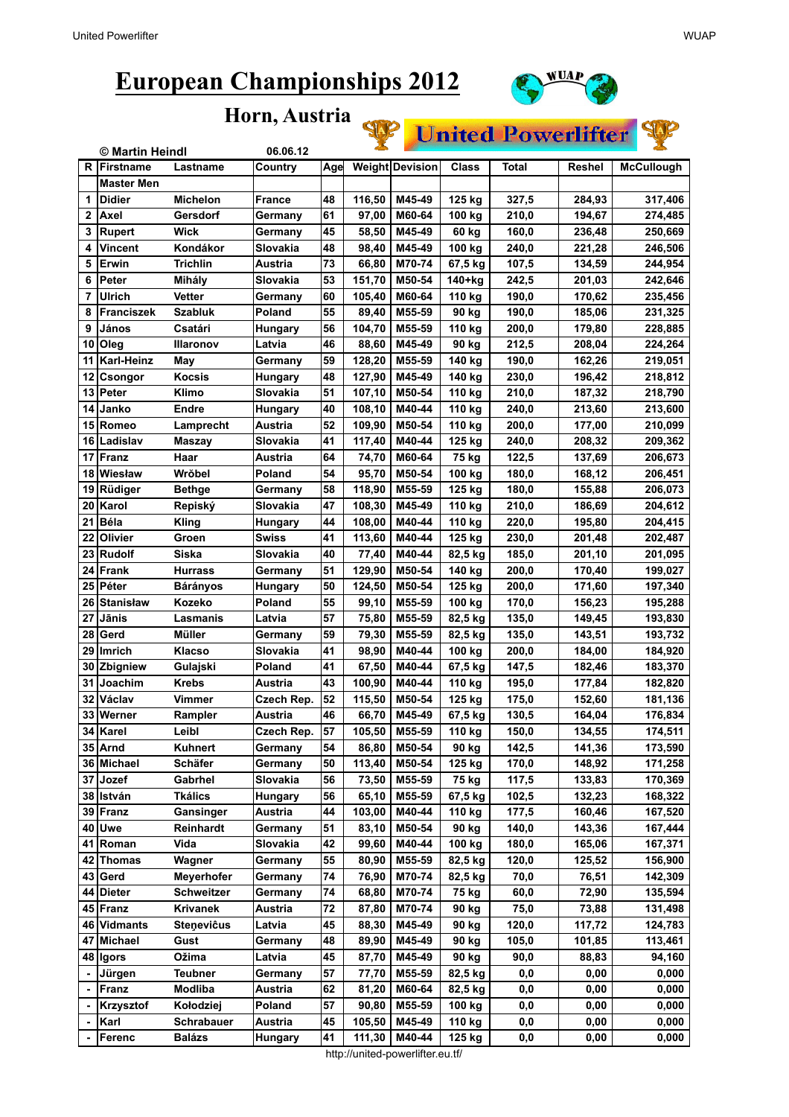

**United Powerlifter** 

**Horn, Austria**



http://united-powerlifter.eu.tf/